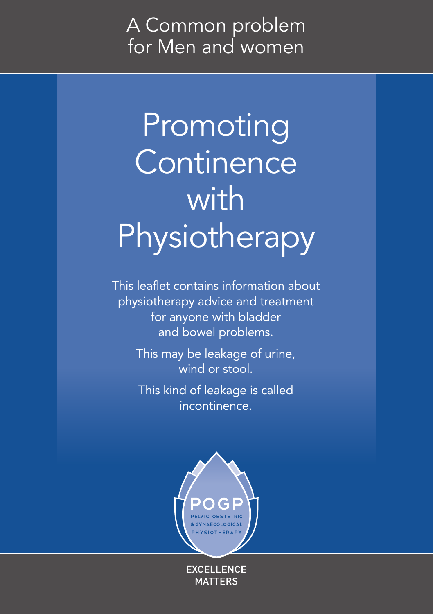### A Common problem for Men and women

# Promoting **Continence** with Physiotherapy

This leaflet contains information about physiotherapy advice and treatment for anyone with bladder and bowel problems.

> This may be leakage of urine, wind or stool.

This kind of leakage is called incontinence.



**EXCELLENCE MATTERS**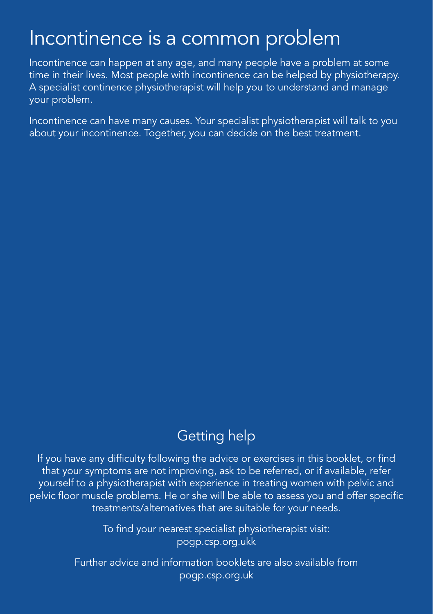### Incontinence is a common problem

Incontinence can happen at any age, and many people have a problem at some time in their lives. Most people with incontinence can be helped by physiotherapy. A specialist continence physiotherapist will help you to understand and manage your problem.

Incontinence can have many causes. Your specialist physiotherapist will talk to you about your incontinence. Together, you can decide on the best treatment.

#### Getting help

If you have any difficulty following the advice or exercises in this booklet, or find that your symptoms are not improving, ask to be referred, or if available, refer yourself to a physiotherapist with experience in treating women with pelvic and pelvic floor muscle problems. He or she will be able to assess you and offer specific treatments/alternatives that are suitable for your needs.

> To find your nearest specialist physiotherapist visit: pogp.csp.org.ukk

Further advice and information booklets are also available from pogp.csp.org.uk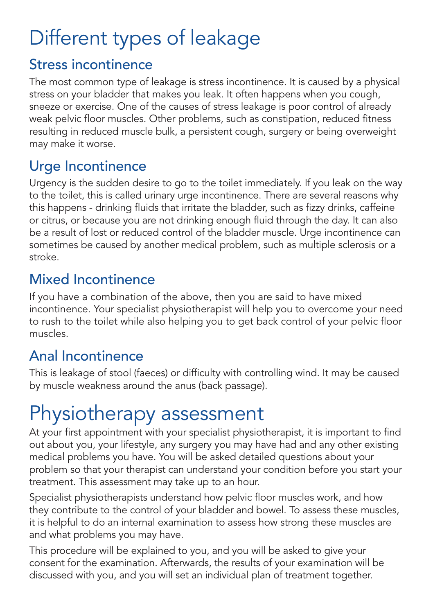# Different types of leakage

#### Stress incontinence

The most common type of leakage is stress incontinence. It is caused by a physical stress on your bladder that makes you leak. It often happens when you cough, sneeze or exercise. One of the causes of stress leakage is poor control of already weak pelvic floor muscles. Other problems, such as constipation, reduced fitness resulting in reduced muscle bulk, a persistent cough, surgery or being overweight may make it worse.

#### Urge Incontinence

Urgency is the sudden desire to go to the toilet immediately. If you leak on the way to the toilet, this is called urinary urge incontinence. There are several reasons why this happens - drinking fluids that irritate the bladder, such as fizzy drinks, caffeine or citrus, or because you are not drinking enough fluid through the day. It can also be a result of lost or reduced control of the bladder muscle. Urge incontinence can sometimes be caused by another medical problem, such as multiple sclerosis or a stroke.

#### Mixed Incontinence

If you have a combination of the above, then you are said to have mixed incontinence. Your specialist physiotherapist will help you to overcome your need to rush to the toilet while also helping you to get back control of your pelvic floor muscles.

#### Anal Incontinence

This is leakage of stool (faeces) or difficulty with controlling wind. It may be caused by muscle weakness around the anus (back passage).

# Physiotherapy assessment

At your first appointment with your specialist physiotherapist, it is important to find out about you, your lifestyle, any surgery you may have had and any other existing medical problems you have. You will be asked detailed questions about your problem so that your therapist can understand your condition before you start your treatment. This assessment may take up to an hour.

Specialist physiotherapists understand how pelvic floor muscles work, and how they contribute to the control of your bladder and bowel. To assess these muscles, it is helpful to do an internal examination to assess how strong these muscles are and what problems you may have.

This procedure will be explained to you, and you will be asked to give your consent for the examination. Afterwards, the results of your examination will be discussed with you, and you will set an individual plan of treatment together.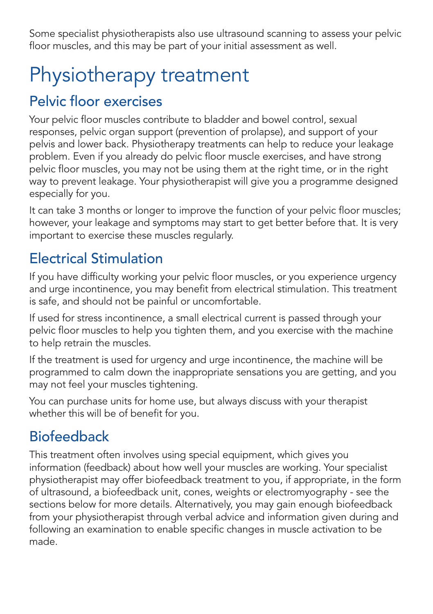Some specialist physiotherapists also use ultrasound scanning to assess your pelvic floor muscles, and this may be part of your initial assessment as well.

# Physiotherapy treatment

#### Pelvic floor exercises

Your pelvic floor muscles contribute to bladder and bowel control, sexual responses, pelvic organ support (prevention of prolapse), and support of your pelvis and lower back. Physiotherapy treatments can help to reduce your leakage problem. Even if you already do pelvic floor muscle exercises, and have strong pelvic floor muscles, you may not be using them at the right time, or in the right way to prevent leakage. Your physiotherapist will give you a programme designed especially for you.

It can take 3 months or longer to improve the function of your pelvic floor muscles; however, your leakage and symptoms may start to get better before that. It is very important to exercise these muscles regularly.

#### Electrical Stimulation

If you have difficulty working your pelvic floor muscles, or you experience urgency and urge incontinence, you may benefit from electrical stimulation. This treatment is safe, and should not be painful or uncomfortable.

If used for stress incontinence, a small electrical current is passed through your pelvic floor muscles to help you tighten them, and you exercise with the machine to help retrain the muscles.

If the treatment is used for urgency and urge incontinence, the machine will be programmed to calm down the inappropriate sensations you are getting, and you may not feel your muscles tightening.

You can purchase units for home use, but always discuss with your therapist whether this will be of benefit for you.

#### Biofeedback

This treatment often involves using special equipment, which gives you information (feedback) about how well your muscles are working. Your specialist physiotherapist may offer biofeedback treatment to you, if appropriate, in the form of ultrasound, a biofeedback unit, cones, weights or electromyography - see the sections below for more details. Alternatively, you may gain enough biofeedback from your physiotherapist through verbal advice and information given during and following an examination to enable specific changes in muscle activation to be made.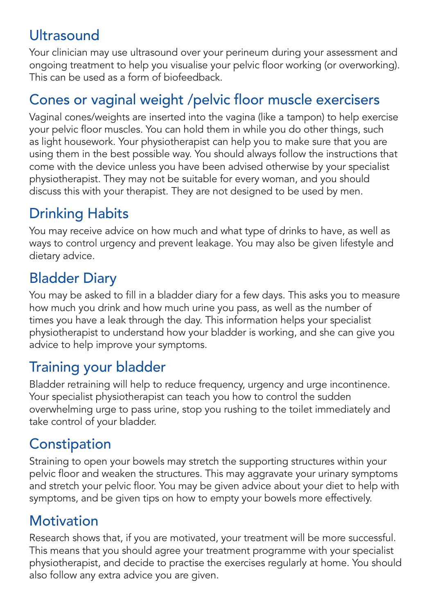#### **Ultrasound**

Your clinician may use ultrasound over your perineum during your assessment and ongoing treatment to help you visualise your pelvic floor working (or overworking). This can be used as a form of biofeedback.

#### Cones or vaginal weight /pelvic floor muscle exercisers

Vaginal cones/weights are inserted into the vagina (like a tampon) to help exercise your pelvic floor muscles. You can hold them in while you do other things, such as light housework. Your physiotherapist can help you to make sure that you are using them in the best possible way. You should always follow the instructions that come with the device unless you have been advised otherwise by your specialist physiotherapist. They may not be suitable for every woman, and you should discuss this with your therapist. They are not designed to be used by men.

#### Drinking Habits

You may receive advice on how much and what type of drinks to have, as well as ways to control urgency and prevent leakage. You may also be given lifestyle and dietary advice.

#### Bladder Diary

You may be asked to fill in a bladder diary for a few days. This asks you to measure how much you drink and how much urine you pass, as well as the number of times you have a leak through the day. This information helps your specialist physiotherapist to understand how your bladder is working, and she can give you advice to help improve your symptoms.

#### Training your bladder

Bladder retraining will help to reduce frequency, urgency and urge incontinence. Your specialist physiotherapist can teach you how to control the sudden overwhelming urge to pass urine, stop you rushing to the toilet immediately and take control of your bladder.

#### **Constipation**

Straining to open your bowels may stretch the supporting structures within your pelvic floor and weaken the structures. This may aggravate your urinary symptoms and stretch your pelvic floor. You may be given advice about your diet to help with symptoms, and be given tips on how to empty your bowels more effectively.

#### **Motivation**

Research shows that, if you are motivated, your treatment will be more successful. This means that you should agree your treatment programme with your specialist physiotherapist, and decide to practise the exercises regularly at home. You should also follow any extra advice you are given.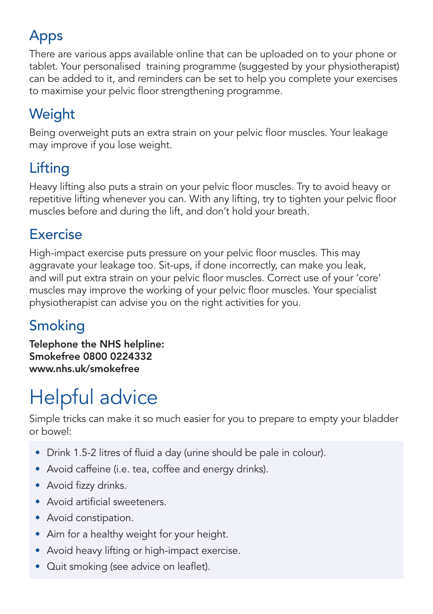### Apps

There are various apps available online that can be uploaded on to your phone or tablet. Your personalised training programme (suggested by your physiotherapist) can be added to it, and reminders can be set to help you complete your exercises to maximise your pelvic floor strengthening programme.

### **Weight**

Being overweight puts an extra strain on your pelvic floor muscles. Your leakage may improve if you lose weight.

### Lifting

Heavy lifting also puts a strain on your pelvic floor muscles. Try to avoid heavy or repetitive lifting whenever you can. With any lifting, try to tighten your pelvic floor muscles before and during the lift, and don't hold your breath.

#### Exercise

High-impact exercise puts pressure on your pelvic floor muscles. This may aggravate your leakage too. Sit-ups, if done incorrectly, can make you leak, and will put extra strain on your pelvic floor muscles. Correct use of your 'core' muscles may improve the working of your pelvic floor muscles. Your specialist physiotherapist can advise you on the right activities for you.

#### Smoking

Telephone the NHS helpline: Smokefree 0800 0224332 www.nhs.uk/smokefree

# Helpful advice

Simple tricks can make it so much easier for you to prepare to empty your bladder or bowel:

- Drink 1.5-2 litres of fluid a day (urine should be pale in colour).
- Avoid caffeine (i.e. tea, coffee and energy drinks).
- Avoid fizzy drinks.
- Avoid artificial sweeteners.
- Avoid constipation.
- Aim for a healthy weight for your height.
- Avoid heavy lifting or high-impact exercise.
- Quit smoking (see advice on leaflet).